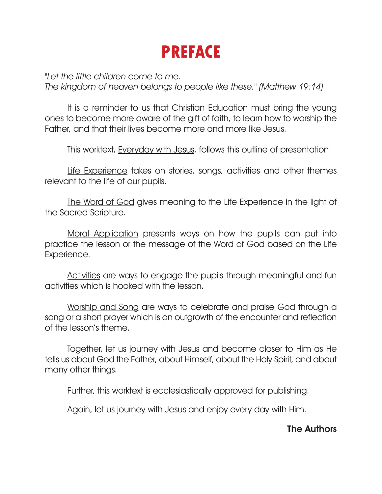## **PREFACE**

"Let the little children come to me. The kingdom of heaven belongs to people like these." (Matthew 19:14)

It is a reminder to us that Christian Education must bring the young ones to become more aware of the gift of faith, to learn how to worship the Father, and that their lives become more and more like Jesus.

This worktext, Everyday with Jesus, follows this outline of presentation:

Life Experience takes on stories, songs, activities and other themes relevant to the life of our pupils.

The Word of God gives meaning to the Life Experience in the light of the Sacred Scripture.

Moral Application presents ways on how the pupils can put into practice the lesson or the message of the Word of God based on the Life Experience.

Activities are ways to engage the pupils through meaningful and fun activities which is hooked with the lesson.

Worship and Song are ways to celebrate and praise God through a song or a short prayer which is an outgrowth of the encounter and reflection of the lesson's theme.

Together, let us journey with Jesus and become closer to Him as He tells us about God the Father, about Himself, about the Holy Spirit, and about many other things.

Further, this worktext is ecclesiastically approved for publishing.

Again, let us journey with Jesus and enjoy every day with Him.

#### The Authors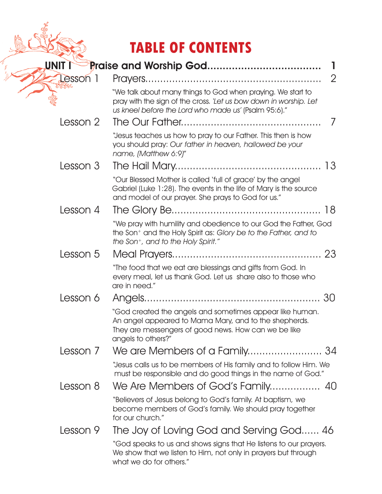### **TABLE OF CONTENTS**

| UNIT I          |                                                                                                                                                                                                   |   |  |
|-----------------|---------------------------------------------------------------------------------------------------------------------------------------------------------------------------------------------------|---|--|
| <b>Lesson</b> 1 |                                                                                                                                                                                                   | 2 |  |
|                 | "We talk about many things to God when praying. We start to<br>pray with the sign of the cross. 'Let us bow down in worship. Let<br>us kneel before the Lord who made us' (Psalm 95:6)."          |   |  |
| Lesson 2        |                                                                                                                                                                                                   | 7 |  |
|                 | "Jesus teaches us how to pray to our Father. This then is how<br>you should pray: Our father in heaven, hallowed be your<br>name, (Matthew 6:9)"                                                  |   |  |
| Lesson 3        |                                                                                                                                                                                                   |   |  |
|                 | "Our Blessed Mother is called 'full of grace' by the angel<br>Gabriel (Luke 1:28). The events in the life of Mary is the source<br>and model of our prayer. She prays to God for us."             |   |  |
| Lesson 4        | 18                                                                                                                                                                                                |   |  |
|                 | "We pray with humility and obedience to our God the Father, God<br>the Son <sup>+</sup> and the Holy Spirit as: Glory be to the Father, and to<br>the Son <sup>+</sup> , and to the Holy Spirit." |   |  |
| Lesson 5        |                                                                                                                                                                                                   |   |  |
|                 | "The food that we eat are blessings and gifts from God. In<br>every meal, let us thank God. Let us share also to those who<br>are in need."                                                       |   |  |
| Lesson 6        | 30                                                                                                                                                                                                |   |  |
|                 | "God created the angels and sometimes appear like human.<br>An angel appeared to Mama Mary, and to the shepherds.<br>They are messengers of good news. How can we be like<br>angels to others?"   |   |  |
| Lesson 7        |                                                                                                                                                                                                   |   |  |
|                 | "Jesus calls us to be members of His family and to follow Him. We<br>must be responsible and do good things in the name of God."                                                                  |   |  |
| Lesson 8        |                                                                                                                                                                                                   |   |  |
|                 | "Believers of Jesus belong to God's family. At baptism, we<br>become members of God's family. We should pray together<br>for our church."                                                         |   |  |
| Lesson 9        | The Joy of Loving God and Serving God 46                                                                                                                                                          |   |  |
|                 | "God speaks to us and shows signs that He listens to our prayers.<br>We show that we listen to Him, not only in prayers but through<br>what we do for others."                                    |   |  |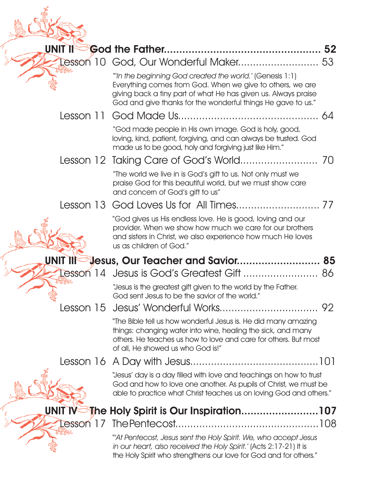| UNIT II  | 52                                                                                                                                                                                                                                                     |
|----------|--------------------------------------------------------------------------------------------------------------------------------------------------------------------------------------------------------------------------------------------------------|
|          | Lesson 10 God, Our Wonderful Maker<br>53                                                                                                                                                                                                               |
|          | "In the beginning God created the world.' (Genesis 1:1)<br>Everything comes from God. When we give to others, we are<br>giving back a tiny part of what He has given us. Always praise<br>God and give thanks for the wonderful things He gave to us." |
|          |                                                                                                                                                                                                                                                        |
|          | "God made people in His own image. God is holy, good,<br>loving, kind, patient, forgiving, and can always be trusted. God<br>made us to be good, holy and forgiving just like Him."                                                                    |
|          |                                                                                                                                                                                                                                                        |
|          | "The world we live in is God's gift to us. Not only must we<br>praise God for this beautiful world, but we must show care<br>and concern of God's gift to us"                                                                                          |
|          |                                                                                                                                                                                                                                                        |
|          | "God gives us His endless love. He is good, loving and our<br>provider. When we show how much we care for our brothers<br>and sisters in Christ, we also experience how much He loves<br>us as children of God."                                       |
| UNIT IIF | <b>Jesus, Our Teacher and Savior 85</b>                                                                                                                                                                                                                |
|          | Lesson 14 Jesus is God's Greatest Gift  86                                                                                                                                                                                                             |
|          | "Jesus is the greatest gift given to the world by the Father.<br>God sent Jesus to be the savior of the world."                                                                                                                                        |
|          |                                                                                                                                                                                                                                                        |
|          | "The Bible tell us how wonderful Jesus is. He did many amazing<br>things: changing water into wine, healing the sick, and many<br>others. He teaches us how to love and care for others. But most<br>of all, He showed us who God is!"                 |
|          |                                                                                                                                                                                                                                                        |
|          | "Jesus' day is a day filled with love and teachings on how to trust<br>God and how to love one another. As pupils of Christ, we must be<br>able to practice what Christ teaches us on loving God and others."                                          |
| UNIT IV  | The Holy Spirit is Our Inspiration107                                                                                                                                                                                                                  |
|          |                                                                                                                                                                                                                                                        |
|          | "At Pentecost, Jesus sent the Holy Spirit. We, who accept Jesus<br>in our heart, also received the Holy Spirit.' (Acts 2:17-21) It is<br>the Holy Spirit who strengthens our love for God and for others."                                             |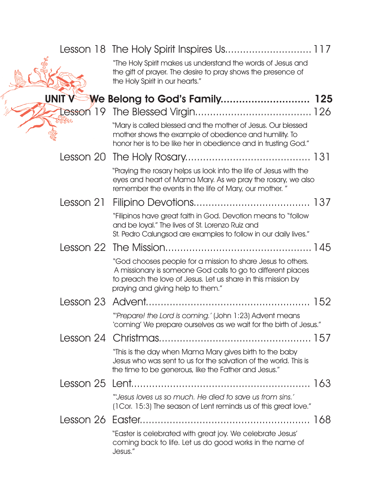|              | "The Holy Spirit makes us understand the words of Jesus and<br>the gift of prayer. The desire to pray shows the presence of<br>the Holy Spirit in our hearts."                                                                  |     |
|--------------|---------------------------------------------------------------------------------------------------------------------------------------------------------------------------------------------------------------------------------|-----|
| <b>UNITY</b> | We Belong to God's Family                                                                                                                                                                                                       | 125 |
|              |                                                                                                                                                                                                                                 |     |
|              | "Mary is called blessed and the mother of Jesus. Our blessed<br>mother shows the example of obedience and humility. To<br>honor her is to be like her in obedience and in trusting God."                                        |     |
|              |                                                                                                                                                                                                                                 |     |
|              | "Praying the rosary helps us look into the life of Jesus with the<br>eyes and heart of Mama Mary. As we pray the rosary, we also<br>remember the events in the life of Mary, our mother."                                       |     |
|              |                                                                                                                                                                                                                                 |     |
|              | "Filipinos have great faith in God. Devotion means to "follow"<br>and be loyal." The lives of St. Lorenzo Ruiz and<br>St. Pedro Calungsod are examples to follow in our daily lives."                                           |     |
|              |                                                                                                                                                                                                                                 |     |
|              | "God chooses people for a mission to share Jesus to others.<br>A missionary is someone God calls to go to different places<br>to preach the love of Jesus. Let us share in this mission by<br>praying and giving help to them." |     |
|              |                                                                                                                                                                                                                                 | 152 |
|              | "Prepare! the Lord is coming.' (John 1:23) Advent means<br>'coming' We prepare ourselves as we wait for the birth of Jesus."                                                                                                    |     |
|              |                                                                                                                                                                                                                                 |     |
|              | "This is the day when Mama Mary gives birth to the baby<br>Jesus who was sent to us for the salvation of the world. This is<br>the time to be generous, like the Father and Jesus."                                             |     |
|              |                                                                                                                                                                                                                                 |     |
|              | "Jesus loves us so much. He died to save us from sins.'<br>(1Cor. 15:3) The season of Lent reminds us of this great love."                                                                                                      |     |
|              |                                                                                                                                                                                                                                 |     |
|              | "Easter is celebrated with great joy. We celebrate Jesus'<br>coming back to life. Let us do good works in the name of<br>Jesus."                                                                                                |     |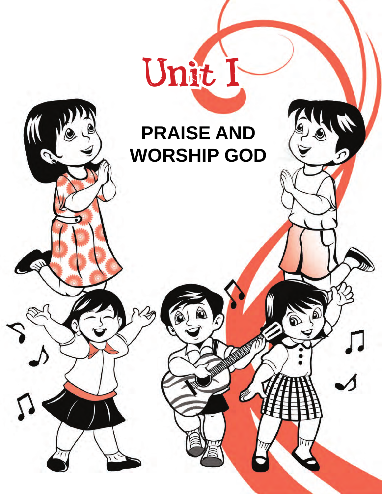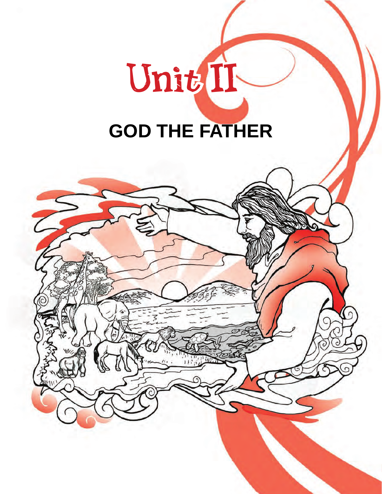# Unit II **GOD THE FATHER**

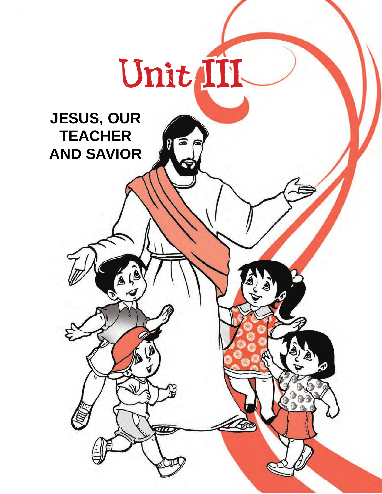

### **JESUS, OUR TEACHER AND SAVIOR**

EIO

ß

伬